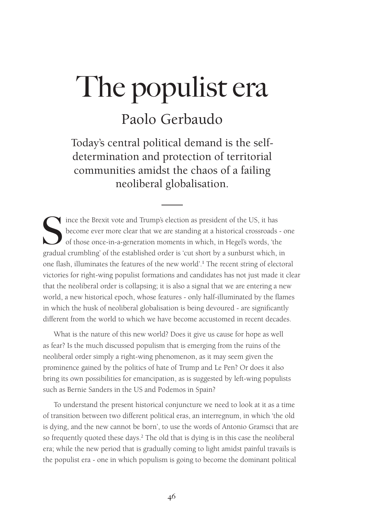## Paolo Gerbaudo

Today's central political demand is the selfdetermination and protection of territorial communities amidst the chaos of a failing neoliberal globalisation.

Since the Brexit vote and Trump's election as president of the US, it has<br>become ever more clear that we are standing at a historical crossroads<br>of those once-in-a-generation moments in which, in Hegel's words, 'the<br>gradua become ever more clear that we are standing at a historical crossroads - one of those once-in-a-generation moments in which, in Hegel's words, 'the gradual crumbling' of the established order is 'cut short by a sunburst which, in one flash, illuminates the features of the new world'.<sup>1</sup> The recent string of electoral victories for right-wing populist formations and candidates has not just made it clear that the neoliberal order is collapsing; it is also a signal that we are entering a new world, a new historical epoch, whose features - only half-illuminated by the flames in which the husk of neoliberal globalisation is being devoured - are significantly different from the world to which we have become accustomed in recent decades.

What is the nature of this new world? Does it give us cause for hope as well as fear? Is the much discussed populism that is emerging from the ruins of the neoliberal order simply a right-wing phenomenon, as it may seem given the prominence gained by the politics of hate of Trump and Le Pen? Or does it also bring its own possibilities for emancipation, as is suggested by left-wing populists such as Bernie Sanders in the US and Podemos in Spain?

To understand the present historical conjuncture we need to look at it as a time of transition between two different political eras, an interregnum, in which 'the old is dying, and the new cannot be born', to use the words of Antonio Gramsci that are so frequently quoted these days.<sup>2</sup> The old that is dying is in this case the neoliberal era; while the new period that is gradually coming to light amidst painful travails is the populist era - one in which populism is going to become the dominant political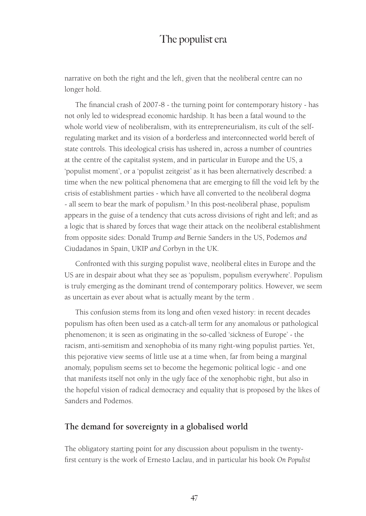narrative on both the right and the left, given that the neoliberal centre can no longer hold.

The financial crash of 2007-8 - the turning point for contemporary history - has not only led to widespread economic hardship. It has been a fatal wound to the whole world view of neoliberalism, with its entrepreneurialism, its cult of the selfregulating market and its vision of a borderless and interconnected world bereft of state controls. This ideological crisis has ushered in, across a number of countries at the centre of the capitalist system, and in particular in Europe and the US, a 'populist moment', or a 'populist zeitgeist' as it has been alternatively described: a time when the new political phenomena that are emerging to fill the void left by the crisis of establishment parties - which have all converted to the neoliberal dogma - all seem to bear the mark of populism.<sup>3</sup> In this post-neoliberal phase, populism appears in the guise of a tendency that cuts across divisions of right and left; and as a logic that is shared by forces that wage their attack on the neoliberal establishment from opposite sides: Donald Trump *and* Bernie Sanders in the US, Podemos *and* Ciudadanos in Spain, UKIP *and* Corbyn in the UK.

Confronted with this surging populist wave, neoliberal elites in Europe and the US are in despair about what they see as 'populism, populism everywhere'. Populism is truly emerging as the dominant trend of contemporary politics. However, we seem as uncertain as ever about what is actually meant by the term .

This confusion stems from its long and often vexed history: in recent decades populism has often been used as a catch-all term for any anomalous or pathological phenomenon; it is seen as originating in the so-called 'sickness of Europe' - the racism, anti-semitism and xenophobia of its many right-wing populist parties. Yet, this pejorative view seems of little use at a time when, far from being a marginal anomaly, populism seems set to become the hegemonic political logic - and one that manifests itself not only in the ugly face of the xenophobic right, but also in the hopeful vision of radical democracy and equality that is proposed by the likes of Sanders and Podemos.

#### **The demand for sovereignty in a globalised world**

The obligatory starting point for any discussion about populism in the twentyfirst century is the work of Ernesto Laclau, and in particular his book *On Populist*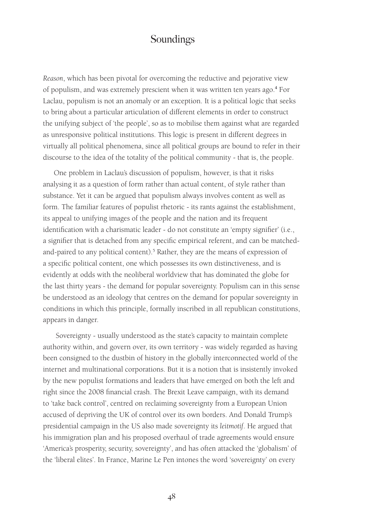*Reason*, which has been pivotal for overcoming the reductive and pejorative view of populism, and was extremely prescient when it was written ten years ago.<sup>4</sup> For Laclau, populism is not an anomaly or an exception. It is a political logic that seeks to bring about a particular articulation of different elements in order to construct the unifying subject of 'the people', so as to mobilise them against what are regarded as unresponsive political institutions. This logic is present in different degrees in virtually all political phenomena, since all political groups are bound to refer in their discourse to the idea of the totality of the political community - that is, the people.

One problem in Laclau's discussion of populism, however, is that it risks analysing it as a question of form rather than actual content, of style rather than substance. Yet it can be argued that populism always involves content as well as form. The familiar features of populist rhetoric - its rants against the establishment, its appeal to unifying images of the people and the nation and its frequent identification with a charismatic leader - do not constitute an 'empty signifier' (i.e., a signifier that is detached from any specific empirical referent, and can be matchedand-paired to any political content).<sup>5</sup> Rather, they are the means of expression of a specific political content, one which possesses its own distinctiveness, and is evidently at odds with the neoliberal worldview that has dominated the globe for the last thirty years - the demand for popular sovereignty. Populism can in this sense be understood as an ideology that centres on the demand for popular sovereignty in conditions in which this principle, formally inscribed in all republican constitutions, appears in danger.

 Sovereignty - usually understood as the state's capacity to maintain complete authority within, and govern over, its own territory - was widely regarded as having been consigned to the dustbin of history in the globally interconnected world of the internet and multinational corporations. But it is a notion that is insistently invoked by the new populist formations and leaders that have emerged on both the left and right since the 2008 financial crash. The Brexit Leave campaign, with its demand to 'take back control', centred on reclaiming sovereignty from a European Union accused of depriving the UK of control over its own borders. And Donald Trump's presidential campaign in the US also made sovereignty its *leitmotif*. He argued that his immigration plan and his proposed overhaul of trade agreements would ensure 'America's prosperity, security, sovereignty', and has often attacked the 'globalism' of the 'liberal elites'. In France, Marine Le Pen intones the word 'sovereignty' on every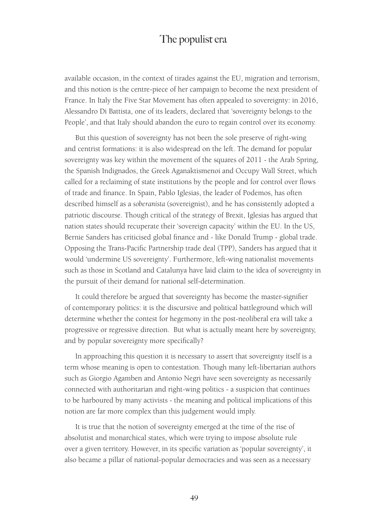available occasion, in the context of tirades against the EU, migration and terrorism, and this notion is the centre-piece of her campaign to become the next president of France. In Italy the Five Star Movement has often appealed to sovereignty: in 2016, Alessandro Di Battista, one of its leaders, declared that 'sovereignty belongs to the People', and that Italy should abandon the euro to regain control over its economy.

But this question of sovereignty has not been the sole preserve of right-wing and centrist formations: it is also widespread on the left. The demand for popular sovereignty was key within the movement of the squares of 2011 - the Arab Spring, the Spanish Indignados, the Greek Aganaktismenoi and Occupy Wall Street, which called for a reclaiming of state institutions by the people and for control over flows of trade and finance. In Spain, Pablo Iglesias, the leader of Podemos, has often described himself as a *soberanista* (sovereignist), and he has consistently adopted a patriotic discourse. Though critical of the strategy of Brexit, Iglesias has argued that nation states should recuperate their 'sovereign capacity' within the EU. In the US, Bernie Sanders has criticised global finance and - like Donald Trump - global trade. Opposing the Trans-Pacific Partnership trade deal (TPP), Sanders has argued that it would 'undermine US sovereignty'. Furthermore, left-wing nationalist movements such as those in Scotland and Catalunya have laid claim to the idea of sovereignty in the pursuit of their demand for national self-determination.

It could therefore be argued that sovereignty has become the master-signifier of contemporary politics: it is the discursive and political battleground which will determine whether the contest for hegemony in the post-neoliberal era will take a progressive or regressive direction. But what is actually meant here by sovereignty, and by popular sovereignty more specifically?

In approaching this question it is necessary to assert that sovereignty itself is a term whose meaning is open to contestation. Though many left-libertarian authors such as Giorgio Agamben and Antonio Negri have seen sovereignty as necessarily connected with authoritarian and right-wing politics - a suspicion that continues to be harboured by many activists - the meaning and political implications of this notion are far more complex than this judgement would imply.

It is true that the notion of sovereignty emerged at the time of the rise of absolutist and monarchical states, which were trying to impose absolute rule over a given territory. However, in its specific variation as 'popular sovereignty', it also became a pillar of national-popular democracies and was seen as a necessary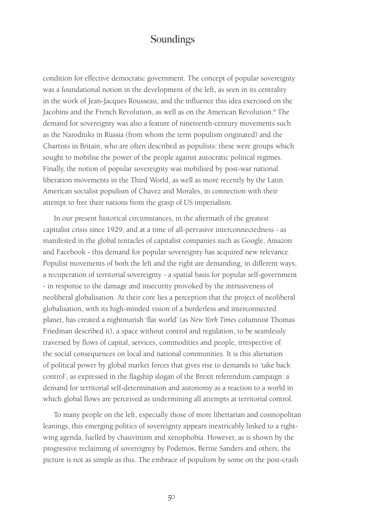condition for effective democratic government. The concept of popular sovereignty was a foundational notion in the development of the left, as seen in its centrality in the work of Jean-Jacques Rousseau, and the influence this idea exercised on the Jacobins and the French Revolution, as well as on the American Revolution.<sup>6</sup> The demand for sovereignty was also a feature of nineteenth-century movements such as the Narodniks in Russia (from whom the term populism originated) and the Chartists in Britain, who are often described as populists: these were groups which sought to mobilise the power of the people against autocratic political regimes. Finally, the notion of popular sovereignty was mobilised by post-war national liberation movements in the Third World, as well as more recently by the Latin American socialist populism of Chavez and Morales, in connection with their attempt to free their nations from the grasp of US imperialism.

In our present historical circumstances, in the aftermath of the greatest capitalist crisis since 1929, and at a time of all-pervasive interconnectedness - as manifested in the global tentacles of capitalist companies such as Google, Amazon and Facebook - this demand for popular sovereignty has acquired new relevance. Populist movements of both the left and the right are demanding, in different ways, a recuperation of territorial sovereignty - a spatial basis for popular self-government - in response to the damage and insecurity provoked by the intrusiveness of neoliberal globalisation. At their core lies a perception that the project of neoliberal globalisation, with its high-minded vision of a borderless and interconnected planet, has created a nightmarish 'flat world' (as *New York Times* columnist Thomas Friedman described it), a space without control and regulation, to be seamlessly traversed by flows of capital, services, commodities and people, irrespective of the social consequences on local and national communities. It is this alienation of political power by global market forces that gives rise to demands to 'take back control', as expressed in the flagship slogan of the Brexit referendum campaign: a demand for territorial self-determination and autonomy as a reaction to a world in which global flows are perceived as undermining all attempts at territorial control.

To many people on the left, especially those of more libertarian and cosmopolitan leanings, this emerging politics of sovereignty appears inextricably linked to a rightwing agenda, fuelled by chauvinism and xenophobia. However, as is shown by the progressive reclaiming of sovereignty by Podemos, Bernie Sanders and others, the picture is not as simple as this. The embrace of populism by some on the post-crash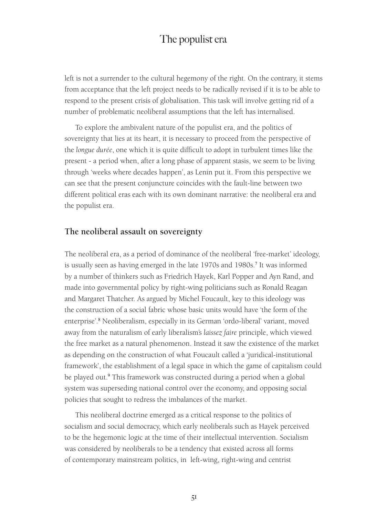left is not a surrender to the cultural hegemony of the right. On the contrary, it stems from acceptance that the left project needs to be radically revised if it is to be able to respond to the present crisis of globalisation. This task will involve getting rid of a number of problematic neoliberal assumptions that the left has internalised.

To explore the ambivalent nature of the populist era, and the politics of sovereignty that lies at its heart, it is necessary to proceed from the perspective of the *longue durée*, one which it is quite difficult to adopt in turbulent times like the present - a period when, after a long phase of apparent stasis, we seem to be living through 'weeks where decades happen', as Lenin put it. From this perspective we can see that the present conjuncture coincides with the fault-line between two different political eras each with its own dominant narrative: the neoliberal era and the populist era.

#### **The neoliberal assault on sovereignty**

The neoliberal era, as a period of dominance of the neoliberal 'free-market' ideology, is usually seen as having emerged in the late 1970s and 1980s.<sup>7</sup> It was informed by a number of thinkers such as Friedrich Hayek, Karl Popper and Ayn Rand, and made into governmental policy by right-wing politicians such as Ronald Reagan and Margaret Thatcher. As argued by Michel Foucault, key to this ideology was the construction of a social fabric whose basic units would have 'the form of the enterprise'.<sup>8</sup> Neoliberalism, especially in its German 'ordo-liberal' variant, moved away from the naturalism of early liberalism's *laissez faire* principle, which viewed the free market as a natural phenomenon. Instead it saw the existence of the market as depending on the construction of what Foucault called a 'juridical-institutional framework', the establishment of a legal space in which the game of capitalism could be played out.<sup>9</sup> This framework was constructed during a period when a global system was superseding national control over the economy, and opposing social policies that sought to redress the imbalances of the market.

This neoliberal doctrine emerged as a critical response to the politics of socialism and social democracy, which early neoliberals such as Hayek perceived to be the hegemonic logic at the time of their intellectual intervention. Socialism was considered by neoliberals to be a tendency that existed across all forms of contemporary mainstream politics, in left-wing, right-wing and centrist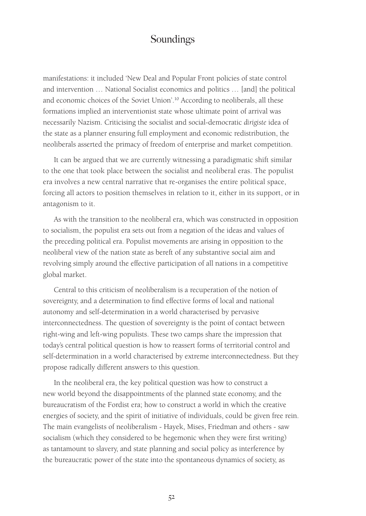manifestations: it included 'New Deal and Popular Front policies of state control and intervention … National Socialist economics and politics … [and] the political and economic choices of the Soviet Union'.<sup>10</sup> According to neoliberals, all these formations implied an interventionist state whose ultimate point of arrival was necessarily Nazism. Criticising the socialist and social-democratic *dirigiste* idea of the state as a planner ensuring full employment and economic redistribution, the neoliberals asserted the primacy of freedom of enterprise and market competition.

It can be argued that we are currently witnessing a paradigmatic shift similar to the one that took place between the socialist and neoliberal eras. The populist era involves a new central narrative that re-organises the entire political space, forcing all actors to position themselves in relation to it, either in its support, or in antagonism to it.

As with the transition to the neoliberal era, which was constructed in opposition to socialism, the populist era sets out from a negation of the ideas and values of the preceding political era. Populist movements are arising in opposition to the neoliberal view of the nation state as bereft of any substantive social aim and revolving simply around the effective participation of all nations in a competitive global market.

Central to this criticism of neoliberalism is a recuperation of the notion of sovereignty, and a determination to find effective forms of local and national autonomy and self-determination in a world characterised by pervasive interconnectedness. The question of sovereignty is the point of contact between right-wing and left-wing populists. These two camps share the impression that today's central political question is how to reassert forms of territorial control and self-determination in a world characterised by extreme interconnectedness. But they propose radically different answers to this question.

In the neoliberal era, the key political question was how to construct a new world beyond the disappointments of the planned state economy, and the bureaucratism of the Fordist era; how to construct a world in which the creative energies of society, and the spirit of initiative of individuals, could be given free rein. The main evangelists of neoliberalism - Hayek, Mises, Friedman and others - saw socialism (which they considered to be hegemonic when they were first writing) as tantamount to slavery, and state planning and social policy as interference by the bureaucratic power of the state into the spontaneous dynamics of society, as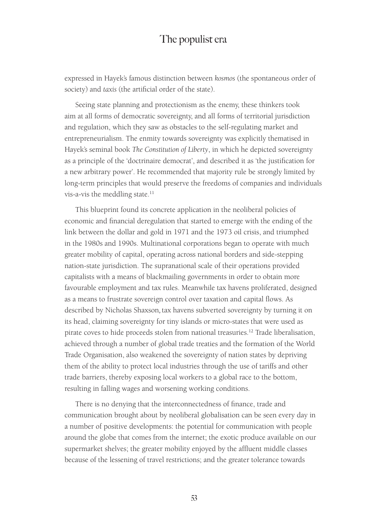expressed in Hayek's famous distinction between *kosmos* (the spontaneous order of society) and *taxis* (the artificial order of the state).

Seeing state planning and protectionism as the enemy, these thinkers took aim at all forms of democratic sovereignty, and all forms of territorial jurisdiction and regulation, which they saw as obstacles to the self-regulating market and entrepreneurialism. The enmity towards sovereignty was explicitly thematised in Hayek's seminal book *The Constitution of Liberty*, in which he depicted sovereignty as a principle of the 'doctrinaire democrat', and described it as 'the justification for a new arbitrary power'. He recommended that majority rule be strongly limited by long-term principles that would preserve the freedoms of companies and individuals vis-a-vis the meddling state.<sup>11</sup>

This blueprint found its concrete application in the neoliberal policies of economic and financial deregulation that started to emerge with the ending of the link between the dollar and gold in 1971 and the 1973 oil crisis, and triumphed in the 1980s and 1990s. Multinational corporations began to operate with much greater mobility of capital, operating across national borders and side-stepping nation-state jurisdiction. The supranational scale of their operations provided capitalists with a means of blackmailing governments in order to obtain more favourable employment and tax rules. Meanwhile tax havens proliferated, designed as a means to frustrate sovereign control over taxation and capital flows. As described by Nicholas Shaxson*,*tax havens subverted sovereignty by turning it on its head, claiming sovereignty for tiny islands or micro-states that were used as pirate coves to hide proceeds stolen from national treasuries.12 Trade liberalisation, achieved through a number of global trade treaties and the formation of the World Trade Organisation, also weakened the sovereignty of nation states by depriving them of the ability to protect local industries through the use of tariffs and other trade barriers, thereby exposing local workers to a global race to the bottom, resulting in falling wages and worsening working conditions.

There is no denying that the interconnectedness of finance, trade and communication brought about by neoliberal globalisation can be seen every day in a number of positive developments: the potential for communication with people around the globe that comes from the internet; the exotic produce available on our supermarket shelves; the greater mobility enjoyed by the affluent middle classes because of the lessening of travel restrictions; and the greater tolerance towards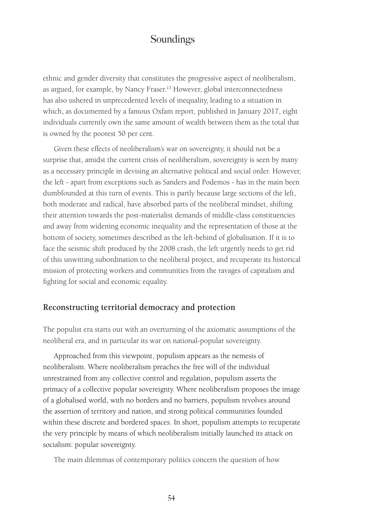ethnic and gender diversity that constitutes the progressive aspect of neoliberalism, as argued, for example, by Nancy Fraser.<sup>13</sup> However, global interconnectedness has also ushered in unprecedented levels of inequality, leading to a situation in which, as documented by a famous Oxfam report, published in January 2017, eight individuals currently own the same amount of wealth between them as the total that is owned by the poorest 50 per cent.

Given these effects of neoliberalism's war on sovereignty, it should not be a surprise that, amidst the current crisis of neoliberalism, sovereignty is seen by many as a necessary principle in devising an alternative political and social order. However, the left - apart from exceptions such as Sanders and Podemos - has in the main been dumbfounded at this turn of events. This is partly because large sections of the left, both moderate and radical, have absorbed parts of the neoliberal mindset, shifting their attention towards the post-materialist demands of middle-class constituencies and away from widening economic inequality and the representation of those at the bottom of society, sometimes described as the left-behind of globalisation. If it is to face the seismic shift produced by the 2008 crash, the left urgently needs to get rid of this unwitting subordination to the neoliberal project, and recuperate its historical mission of protecting workers and communities from the ravages of capitalism and fighting for social and economic equality.

#### **Reconstructing territorial democracy and protection**

The populist era starts out with an overturning of the axiomatic assumptions of the neoliberal era, and in particular its war on national-popular sovereignty.

Approached from this viewpoint, populism appears as the nemesis of neoliberalism. Where neoliberalism preaches the free will of the individual unrestrained from any collective control and regulation, populism asserts the primacy of a collective popular sovereignty. Where neoliberalism proposes the image of a globalised world, with no borders and no barriers, populism revolves around the assertion of territory and nation, and strong political communities founded within these discrete and bordered spaces. In short, populism attempts to recuperate the very principle by means of which neoliberalism initially launched its attack on socialism: popular sovereignty.

The main dilemmas of contemporary politics concern the question of how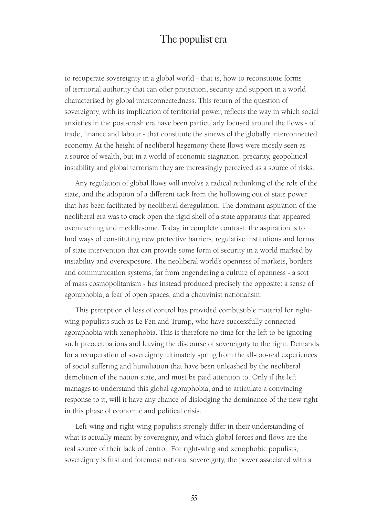to recuperate sovereignty in a global world - that is, how to reconstitute forms of territorial authority that can offer protection, security and support in a world characterised by global interconnectedness. This return of the question of sovereignty, with its implication of territorial power, reflects the way in which social anxieties in the post-crash era have been particularly focused around the flows - of trade, finance and labour - that constitute the sinews of the globally interconnected economy. At the height of neoliberal hegemony these flows were mostly seen as a source of wealth, but in a world of economic stagnation, precarity, geopolitical instability and global terrorism they are increasingly perceived as a source of risks.

Any regulation of global flows will involve a radical rethinking of the role of the state, and the adoption of a different tack from the hollowing out of state power that has been facilitated by neoliberal deregulation. The dominant aspiration of the neoliberal era was to crack open the rigid shell of a state apparatus that appeared overreaching and meddlesome. Today, in complete contrast, the aspiration is to find ways of constituting new protective barriers, regulative institutions and forms of state intervention that can provide some form of security in a world marked by instability and overexposure. The neoliberal world's openness of markets, borders and communication systems, far from engendering a culture of openness - a sort of mass cosmopolitanism - has instead produced precisely the opposite: a sense of agoraphobia, a fear of open spaces, and a chauvinist nationalism.

This perception of loss of control has provided combustible material for rightwing populists such as Le Pen and Trump, who have successfully connected agoraphobia with xenophobia. This is therefore no time for the left to be ignoring such preoccupations and leaving the discourse of sovereignty to the right. Demands for a recuperation of sovereignty ultimately spring from the all-too-real experiences of social suffering and humiliation that have been unleashed by the neoliberal demolition of the nation state, and must be paid attention to. Only if the left manages to understand this global agoraphobia, and to articulate a convincing response to it, will it have any chance of dislodging the dominance of the new right in this phase of economic and political crisis.

Left-wing and right-wing populists strongly differ in their understanding of what is actually meant by sovereignty, and which global forces and flows are the real source of their lack of control. For right-wing and xenophobic populists, sovereignty is first and foremost national sovereignty, the power associated with a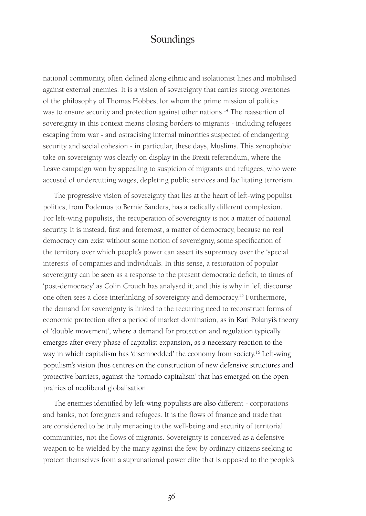national community, often defined along ethnic and isolationist lines and mobilised against external enemies. It is a vision of sovereignty that carries strong overtones of the philosophy of Thomas Hobbes, for whom the prime mission of politics was to ensure security and protection against other nations.<sup>14</sup> The reassertion of sovereignty in this context means closing borders to migrants - including refugees escaping from war - and ostracising internal minorities suspected of endangering security and social cohesion - in particular, these days, Muslims. This xenophobic take on sovereignty was clearly on display in the Brexit referendum, where the Leave campaign won by appealing to suspicion of migrants and refugees, who were accused of undercutting wages, depleting public services and facilitating terrorism.

The progressive vision of sovereignty that lies at the heart of left-wing populist politics, from Podemos to Bernie Sanders, has a radically different complexion. For left-wing populists, the recuperation of sovereignty is not a matter of national security. It is instead, first and foremost, a matter of democracy, because no real democracy can exist without some notion of sovereignty, some specification of the territory over which people's power can assert its supremacy over the 'special interests' of companies and individuals. In this sense, a restoration of popular sovereignty can be seen as a response to the present democratic deficit, to times of 'post-democracy' as Colin Crouch has analysed it; and this is why in left discourse one often sees a close interlinking of sovereignty and democracy.15 Furthermore, the demand for sovereignty is linked to the recurring need to reconstruct forms of economic protection after a period of market domination, as in Karl Polanyi's theory of 'double movement', where a demand for protection and regulation typically emerges after every phase of capitalist expansion, as a necessary reaction to the way in which capitalism has 'disembedded' the economy from society.<sup>16</sup> Left-wing populism's vision thus centres on the construction of new defensive structures and protective barriers, against the 'tornado capitalism' that has emerged on the open prairies of neoliberal globalisation.

The enemies identified by left-wing populists are also different - corporations and banks, not foreigners and refugees. It is the flows of finance and trade that are considered to be truly menacing to the well-being and security of territorial communities, not the flows of migrants. Sovereignty is conceived as a defensive weapon to be wielded by the many against the few, by ordinary citizens seeking to protect themselves from a supranational power elite that is opposed to the people's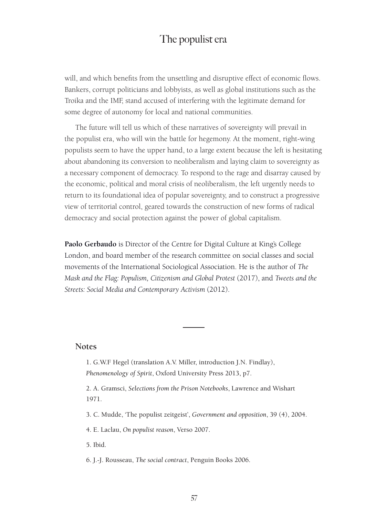will, and which benefits from the unsettling and disruptive effect of economic flows. Bankers, corrupt politicians and lobbyists, as well as global institutions such as the Troika and the IMF, stand accused of interfering with the legitimate demand for some degree of autonomy for local and national communities.

The future will tell us which of these narratives of sovereignty will prevail in the populist era, who will win the battle for hegemony. At the moment, right-wing populists seem to have the upper hand, to a large extent because the left is hesitating about abandoning its conversion to neoliberalism and laying claim to sovereignty as a necessary component of democracy. To respond to the rage and disarray caused by the economic, political and moral crisis of neoliberalism, the left urgently needs to return to its foundational idea of popular sovereignty, and to construct a progressive view of territorial control, geared towards the construction of new forms of radical democracy and social protection against the power of global capitalism.

**Paolo Gerbaudo** is Director of the Centre for Digital Culture at King's College London, and board member of the research committee on social classes and social movements of the International Sociological Association. He is the author of *The Mask and the Flag: Populism, Citizenism and Global Protest* (2017), and *Tweets and the Streets: Social Media and Contemporary Activism* (2012).

#### **Notes**

1. G.W.F Hegel (translation A.V. Miller, introduction J.N. Findlay), *Phenomenology of Spirit*, Oxford University Press 2013, p7.

2. A. Gramsci, *Selections from the Prison Notebooks*, Lawrence and Wishart 1971.

3. C. Mudde, 'The populist zeitgeist', *Government and opposition*, 39 (4), 2004.

4. E. Laclau, *On populist reason*, Verso 2007.

5. Ibid.

6. J.-J. Rousseau, *The social contract*, Penguin Books 2006.